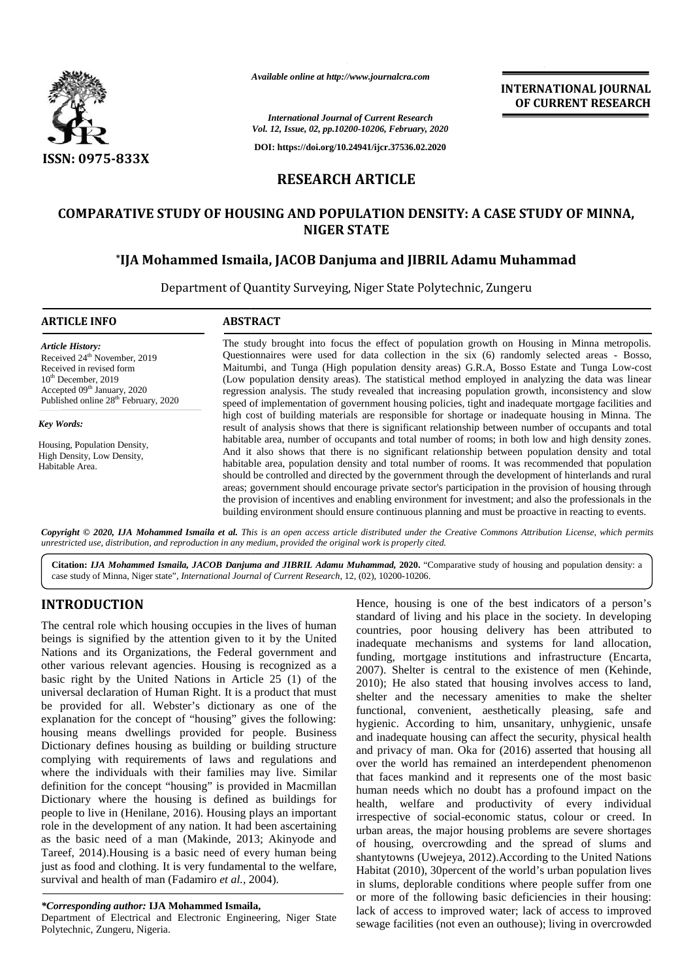

*Available online at http://www.journalcra.com*

## **RESEARCH ARTICLE**

# **COMPARATIVE STUDY OF HOUSING AND POPULATION DENSITY: A CASE STUDY OF MINNA, NIGER STATE \*IJA Mohammed Ismaila, JACOB Danjuma and JIBRIL Adamu Muhammad STATEJIBRIL Adamu Muhammad**

|                                                                                                                                                                                                                                                                                                                                                                                                                                                                                                                                                                                                                                                                                                                                                                                                                                                                                                                                                                                                                                                                                                                                                                                                                                                                                                                                                                            | Available online at http://www.journalcra.com                                                                                        |                                                                                                        | <b>INTERNATIONAL JOURNAL</b><br>OF CURRENT RESEARCH                                                                                                                                                                                                                                                                                                                                                                                                                                                                                                                                                                                                                                                                                                                                                                                                                                                                                                                                                                                                                                                                                                                                                                                                                                                                                                                                                                                                                             |
|----------------------------------------------------------------------------------------------------------------------------------------------------------------------------------------------------------------------------------------------------------------------------------------------------------------------------------------------------------------------------------------------------------------------------------------------------------------------------------------------------------------------------------------------------------------------------------------------------------------------------------------------------------------------------------------------------------------------------------------------------------------------------------------------------------------------------------------------------------------------------------------------------------------------------------------------------------------------------------------------------------------------------------------------------------------------------------------------------------------------------------------------------------------------------------------------------------------------------------------------------------------------------------------------------------------------------------------------------------------------------|--------------------------------------------------------------------------------------------------------------------------------------|--------------------------------------------------------------------------------------------------------|---------------------------------------------------------------------------------------------------------------------------------------------------------------------------------------------------------------------------------------------------------------------------------------------------------------------------------------------------------------------------------------------------------------------------------------------------------------------------------------------------------------------------------------------------------------------------------------------------------------------------------------------------------------------------------------------------------------------------------------------------------------------------------------------------------------------------------------------------------------------------------------------------------------------------------------------------------------------------------------------------------------------------------------------------------------------------------------------------------------------------------------------------------------------------------------------------------------------------------------------------------------------------------------------------------------------------------------------------------------------------------------------------------------------------------------------------------------------------------|
|                                                                                                                                                                                                                                                                                                                                                                                                                                                                                                                                                                                                                                                                                                                                                                                                                                                                                                                                                                                                                                                                                                                                                                                                                                                                                                                                                                            |                                                                                                                                      | <b>International Journal of Current Research</b><br>Vol. 12, Issue, 02, pp.10200-10206, February, 2020 |                                                                                                                                                                                                                                                                                                                                                                                                                                                                                                                                                                                                                                                                                                                                                                                                                                                                                                                                                                                                                                                                                                                                                                                                                                                                                                                                                                                                                                                                                 |
| <b>ISSN: 0975-833X</b>                                                                                                                                                                                                                                                                                                                                                                                                                                                                                                                                                                                                                                                                                                                                                                                                                                                                                                                                                                                                                                                                                                                                                                                                                                                                                                                                                     |                                                                                                                                      | DOI: https://doi.org/10.24941/ijcr.37536.02.2020                                                       |                                                                                                                                                                                                                                                                                                                                                                                                                                                                                                                                                                                                                                                                                                                                                                                                                                                                                                                                                                                                                                                                                                                                                                                                                                                                                                                                                                                                                                                                                 |
|                                                                                                                                                                                                                                                                                                                                                                                                                                                                                                                                                                                                                                                                                                                                                                                                                                                                                                                                                                                                                                                                                                                                                                                                                                                                                                                                                                            | <b>RESEARCH ARTICLE</b>                                                                                                              |                                                                                                        |                                                                                                                                                                                                                                                                                                                                                                                                                                                                                                                                                                                                                                                                                                                                                                                                                                                                                                                                                                                                                                                                                                                                                                                                                                                                                                                                                                                                                                                                                 |
|                                                                                                                                                                                                                                                                                                                                                                                                                                                                                                                                                                                                                                                                                                                                                                                                                                                                                                                                                                                                                                                                                                                                                                                                                                                                                                                                                                            | <b>NIGER STATE</b>                                                                                                                   |                                                                                                        | <b>COMPARATIVE STUDY OF HOUSING AND POPULATION DENSITY: A CASE STUDY OF MINNA,</b>                                                                                                                                                                                                                                                                                                                                                                                                                                                                                                                                                                                                                                                                                                                                                                                                                                                                                                                                                                                                                                                                                                                                                                                                                                                                                                                                                                                              |
|                                                                                                                                                                                                                                                                                                                                                                                                                                                                                                                                                                                                                                                                                                                                                                                                                                                                                                                                                                                                                                                                                                                                                                                                                                                                                                                                                                            | *IJA Mohammed Ismaila, JACOB Danjuma and JIBRIL Adamu Muhammad<br>Department of Quantity Surveying, Niger State Polytechnic, Zungeru |                                                                                                        |                                                                                                                                                                                                                                                                                                                                                                                                                                                                                                                                                                                                                                                                                                                                                                                                                                                                                                                                                                                                                                                                                                                                                                                                                                                                                                                                                                                                                                                                                 |
| <b>ARTICLE INFO</b>                                                                                                                                                                                                                                                                                                                                                                                                                                                                                                                                                                                                                                                                                                                                                                                                                                                                                                                                                                                                                                                                                                                                                                                                                                                                                                                                                        | <b>ABSTRACT</b>                                                                                                                      |                                                                                                        |                                                                                                                                                                                                                                                                                                                                                                                                                                                                                                                                                                                                                                                                                                                                                                                                                                                                                                                                                                                                                                                                                                                                                                                                                                                                                                                                                                                                                                                                                 |
| <b>Article History:</b><br>Received 24 <sup>th</sup> November, 2019<br>Received in revised form<br>$10th$ December, 2019<br>Accepted 09th January, 2020<br>Published online 28 <sup>th</sup> February, 2020<br><b>Key Words:</b><br>Housing, Population Density,<br>High Density, Low Density,                                                                                                                                                                                                                                                                                                                                                                                                                                                                                                                                                                                                                                                                                                                                                                                                                                                                                                                                                                                                                                                                             |                                                                                                                                      |                                                                                                        | The study brought into focus the effect of population growth on Housing in Minna metropolis.<br>Questionnaires were used for data collection in the six (6) randomly selected areas - Bosso,<br>Maitumbi, and Tunga (High population density areas) G.R.A, Bosso Estate and Tunga Low-cost<br>(Low population density areas). The statistical method employed in analyzing the data was linear<br>regression analysis. The study revealed that increasing population growth, inconsistency and slow<br>speed of implementation of government housing policies, tight and inadequate mortgage facilities and<br>high cost of building materials are responsible for shortage or inadequate housing in Minna. The<br>result of analysis shows that there is significant relationship between number of occupants and total<br>habitable area, number of occupants and total number of rooms; in both low and high density zones.<br>And it also shows that there is no significant relationship between population density and total                                                                                                                                                                                                                                                                                                                                                                                                                                              |
| Habitable Area.<br>unrestricted use, distribution, and reproduction in any medium, provided the original work is properly cited.<br>case study of Minna, Niger state", International Journal of Current Research, 12, (02), 10200-10206.                                                                                                                                                                                                                                                                                                                                                                                                                                                                                                                                                                                                                                                                                                                                                                                                                                                                                                                                                                                                                                                                                                                                   |                                                                                                                                      |                                                                                                        | habitable area, population density and total number of rooms. It was recommended that population<br>should be controlled and directed by the government through the development of hinterlands and rural<br>areas; government should encourage private sector's participation in the provision of housing through<br>the provision of incentives and enabling environment for investment; and also the professionals in the<br>building environment should ensure continuous planning and must be proactive in reacting to events.<br>Copyright © 2020, IJA Mohammed Ismaila et al. This is an open access article distributed under the Creative Commons Attribution License, which permits<br>Citation: IJA Mohammed Ismaila, JACOB Danjuma and JIBRIL Adamu Muhammad, 2020. "Comparative study of housing and population density: a                                                                                                                                                                                                                                                                                                                                                                                                                                                                                                                                                                                                                                          |
| <b>INTRODUCTION</b><br>The central role which housing occupies in the lives of human<br>beings is signified by the attention given to it by the United<br>Nations and its Organizations, the Federal government and<br>other various relevant agencies. Housing is recognized as a<br>basic right by the United Nations in Article 25 (1) of the<br>universal declaration of Human Right. It is a product that must<br>be provided for all. Webster's dictionary as one of the<br>explanation for the concept of "housing" gives the following:<br>housing means dwellings provided for people. Business<br>Dictionary defines housing as building or building structure<br>complying with requirements of laws and regulations and<br>where the individuals with their families may live. Similar<br>definition for the concept "housing" is provided in Macmillan<br>Dictionary where the housing is defined as buildings for<br>people to live in (Henilane, 2016). Housing plays an important<br>role in the development of any nation. It had been ascertaining<br>as the basic need of a man (Makinde, 2013; Akinyode and<br>Tareef, 2014). Housing is a basic need of every human being<br>just as food and clothing. It is very fundamental to the welfare,<br>survival and health of man (Fadamiro et al., 2004).<br>*Corresponding author: IJA Mohammed Ismaila, |                                                                                                                                      |                                                                                                        | Hence, housing is one of the best indicators of a person's<br>standard of living and his place in the society. In developing<br>countries, poor housing delivery has been attributed to<br>inadequate mechanisms and systems for land allocation,<br>funding, mortgage institutions and infrastructure (Encarta,<br>2007). Shelter is central to the existence of men (Kehinde,<br>2010); He also stated that housing involves access to land,<br>shelter and the necessary amenities to make the shelter<br>functional, convenient, aesthetically pleasing, safe and<br>hygienic. According to him, unsanitary, unhygienic, unsafe<br>and inadequate housing can affect the security, physical health<br>and privacy of man. Oka for (2016) asserted that housing all<br>over the world has remained an interdependent phenomenon<br>that faces mankind and it represents one of the most basic<br>human needs which no doubt has a profound impact on the<br>health, welfare and productivity of every individual<br>irrespective of social-economic status, colour or creed. In<br>urban areas, the major housing problems are severe shortages<br>of housing, overcrowding and the spread of slums and<br>shantytowns (Uwejeya, 2012). According to the United Nations<br>Habitat (2010), 30 percent of the world's urban population lives<br>in slums, deplorable conditions where people suffer from one<br>or more of the following basic deficiencies in their housing: |
| Department of Electrical and Electronic Engineering, Niger State<br>Dolytechnic Zungeru Nigerie                                                                                                                                                                                                                                                                                                                                                                                                                                                                                                                                                                                                                                                                                                                                                                                                                                                                                                                                                                                                                                                                                                                                                                                                                                                                            |                                                                                                                                      |                                                                                                        | lack of access to improved water; lack of access to improved<br>sewage facilities (not even an outhouse); living in overcrowded                                                                                                                                                                                                                                                                                                                                                                                                                                                                                                                                                                                                                                                                                                                                                                                                                                                                                                                                                                                                                                                                                                                                                                                                                                                                                                                                                 |

## **INTRODUCTION INTRODUCTION**

#### *\*Corresponding author:* **IJA Mohammed Ismaila,** *\*Corresponding*

Department of Electrical and Electronic Engineering, Niger State Polytechnic, Zungeru, Nigeria.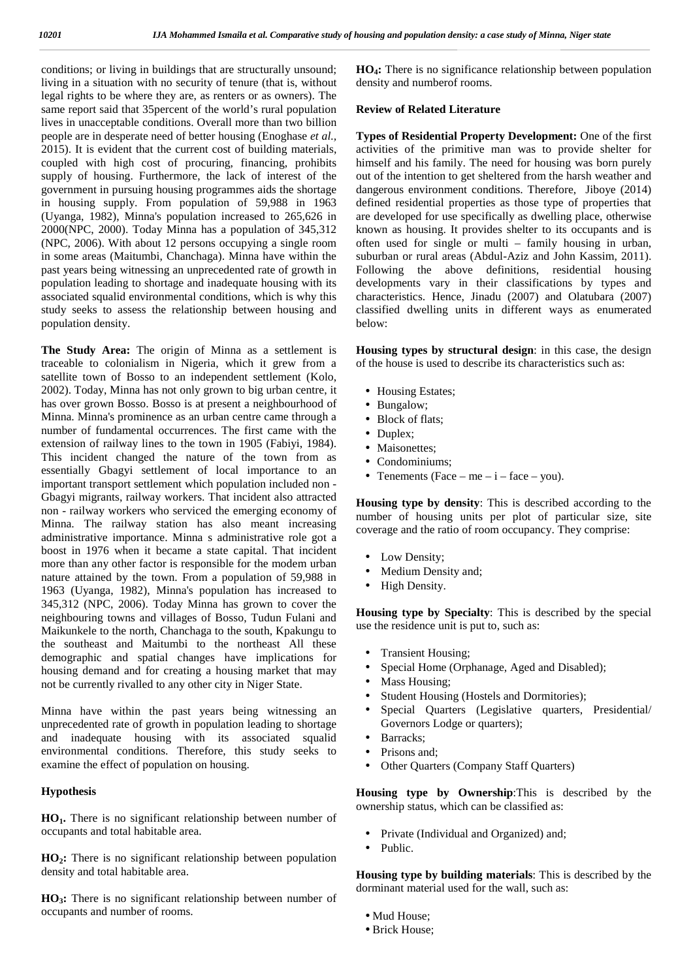conditions; or living in buildings that are structurally unsound; living in a situation with no security of tenure (that is, without legal rights to be where they are, as renters or as owners). The same report said that 35percent of the world's rural population lives in unacceptable conditions. Overall more than two billion people are in desperate need of better housing (Enoghase *et al.,* 2015). It is evident that the current cost of building materials, coupled with high cost of procuring, financing, prohibits supply of housing. Furthermore, the lack of interest of the government in pursuing housing programmes aids the shortage in housing supply. From population of 59,988 in 1963 (Uyanga, 1982), Minna's population increased to 265,626 in 2000(NPC, 2000). Today Minna has a population of 345,312 (NPC, 2006). With about 12 persons occupying a single room in some areas (Maitumbi, Chanchaga). Minna have within the past years being witnessing an unprecedented rate of growth in population leading to shortage and inadequate housing with its associated squalid environmental conditions, which is why this study seeks to assess the relationship between housing and population density.

**The Study Area:** The origin of Minna as a settlement is traceable to colonialism in Nigeria, which it grew from a satellite town of Bosso to an independent settlement (Kolo, 2002). Today, Minna has not only grown to big urban centre, it has over grown Bosso. Bosso is at present a neighbourhood of Minna. Minna's prominence as an urban centre came through a number of fundamental occurrences. The first came with the extension of railway lines to the town in 1905 (Fabiyi, 1984). This incident changed the nature of the town from as essentially Gbagyi settlement of local importance to an important transport settlement which population included non - Gbagyi migrants, railway workers. That incident also attracted non - railway workers who serviced the emerging economy of Minna. The railway station has also meant increasing administrative importance. Minna s administrative role got a boost in 1976 when it became a state capital. That incident more than any other factor is responsible for the modem urban nature attained by the town. From a population of 59,988 in 1963 (Uyanga, 1982), Minna's population has increased to 345,312 (NPC, 2006). Today Minna has grown to cover the neighbouring towns and villages of Bosso, Tudun Fulani and Maikunkele to the north, Chanchaga to the south, Kpakungu to the southeast and Maitumbi to the northeast All these demographic and spatial changes have implications for housing demand and for creating a housing market that may not be currently rivalled to any other city in Niger State.

Minna have within the past years being witnessing an unprecedented rate of growth in population leading to shortage and inadequate housing with its associated squalid environmental conditions. Therefore, this study seeks to examine the effect of population on housing.

#### **Hypothesis**

**HO1.** There is no significant relationship between number of occupants and total habitable area.

**HO2:** There is no significant relationship between population density and total habitable area.

**HO3:** There is no significant relationship between number of occupants and number of rooms.

**HO4:** There is no significance relationship between population density and numberof rooms.

#### **Review of Related Literature**

**Types of Residential Property Development:** One of the first activities of the primitive man was to provide shelter for himself and his family. The need for housing was born purely out of the intention to get sheltered from the harsh weather and dangerous environment conditions. Therefore, Jiboye (2014) defined residential properties as those type of properties that are developed for use specifically as dwelling place, otherwise known as housing. It provides shelter to its occupants and is often used for single or multi – family housing in urban, suburban or rural areas (Abdul-Aziz and John Kassim, 2011). Following the above definitions, residential housing developments vary in their classifications by types and characteristics. Hence, Jinadu (2007) and Olatubara (2007) classified dwelling units in different ways as enumerated below:

**Housing types by structural design**: in this case, the design of the house is used to describe its characteristics such as:

- Housing Estates; Bungalow; Block of flats; Duplex; Maisonettes;
- Condominiums;
- Tenements (Face me  $i$  face you).

**Housing type by density**: This is described according to the number of housing units per plot of particular size, site coverage and the ratio of room occupancy. They comprise:

 Low Density; Medium Density and; High Density.

**Housing type by Specialty**: This is described by the special use the residence unit is put to, such as:

- Transient Housing;
- Special Home (Orphanage, Aged and Disabled);
- Mass Housing;
- Student Housing (Hostels and Dormitories);
- Special Quarters (Legislative quarters, Presidential/ Governors Lodge or quarters);
- Barracks;
- Prisons and;
- Other Quarters (Company Staff Quarters)

**Housing type by Ownership**:This is described by the ownership status, which can be classified as:

 Private (Individual and Organized) and; Public.

**Housing type by building materials**: This is described by the dorminant material used for the wall, such as:

 Mud House; Brick House;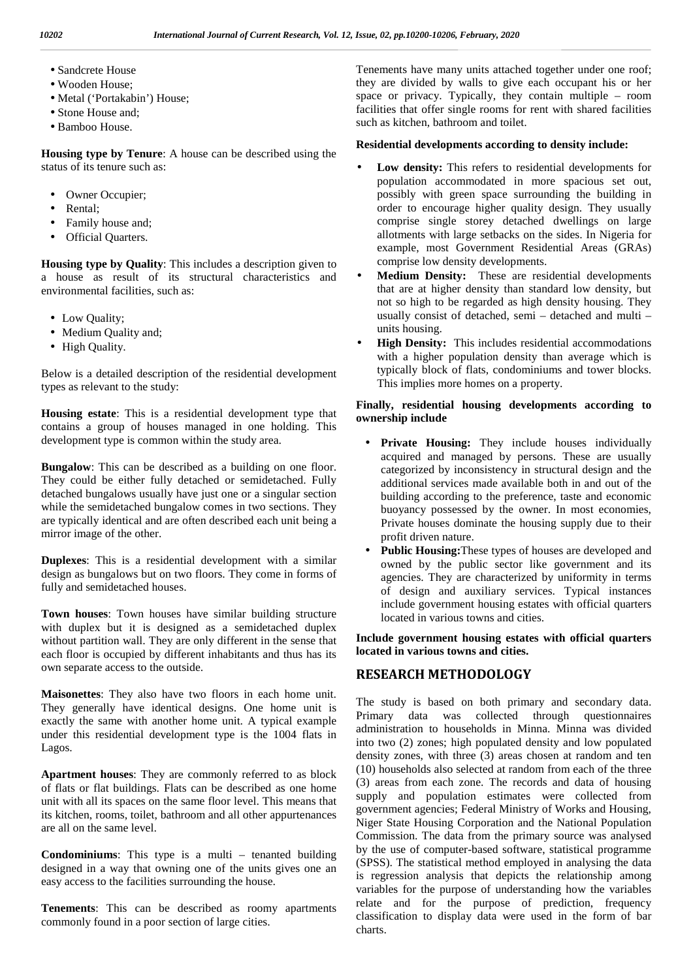Sandcrete House Wooden House; Metal ('Portakabin') House; Stone House and; Bamboo House.

**Housing type by Tenure**: A house can be described using the status of its tenure such as:

- Owner Occupier;
- Rental;
- Family house and;
- Official Quarters.

**Housing type by Quality**: This includes a description given to a house as result of its structural characteristics and environmental facilities, such as:

 Low Quality; Medium Quality and; High Quality.

Below is a detailed description of the residential development types as relevant to the study:

**Housing estate**: This is a residential development type that contains a group of houses managed in one holding. This development type is common within the study area.

**Bungalow**: This can be described as a building on one floor. They could be either fully detached or semidetached. Fully detached bungalows usually have just one or a singular section while the semidetached bungalow comes in two sections. They are typically identical and are often described each unit being a mirror image of the other.

**Duplexes**: This is a residential development with a similar design as bungalows but on two floors. They come in forms of fully and semidetached houses.

**Town houses**: Town houses have similar building structure with duplex but it is designed as a semidetached duplex without partition wall. They are only different in the sense that each floor is occupied by different inhabitants and thus has its own separate access to the outside.

**Maisonettes**: They also have two floors in each home unit. They generally have identical designs. One home unit is exactly the same with another home unit. A typical example under this residential development type is the 1004 flats in Lagos.

**Apartment houses**: They are commonly referred to as block of flats or flat buildings. Flats can be described as one home unit with all its spaces on the same floor level. This means that its kitchen, rooms, toilet, bathroom and all other appurtenances are all on the same level.

**Condominiums**: This type is a multi – tenanted building designed in a way that owning one of the units gives one an easy access to the facilities surrounding the house.

**Tenements**: This can be described as roomy apartments commonly found in a poor section of large cities.

Tenements have many units attached together under one roof; they are divided by walls to give each occupant his or her space or privacy. Typically, they contain multiple – room facilities that offer single rooms for rent with shared facilities such as kitchen, bathroom and toilet.

#### **Residential developments according to density include:**

- **Low density:** This refers to residential developments for population accommodated in more spacious set out, possibly with green space surrounding the building in order to encourage higher quality design. They usually comprise single storey detached dwellings on large allotments with large setbacks on the sides. In Nigeria for example, most Government Residential Areas (GRAs) comprise low density developments.
- **Medium Density:** These are residential developments that are at higher density than standard low density, but not so high to be regarded as high density housing. They usually consist of detached, semi – detached and multi – units housing.
- **High Density:** This includes residential accommodations with a higher population density than average which is typically block of flats, condominiums and tower blocks. This implies more homes on a property.

### **Finally, residential housing developments according to ownership include**

- **Private Housing:** They include houses individually acquired and managed by persons. These are usually categorized by inconsistency in structural design and the additional services made available both in and out of the building according to the preference, taste and economic buoyancy possessed by the owner. In most economies, Private houses dominate the housing supply due to their profit driven nature.
- **Public Housing:**These types of houses are developed and owned by the public sector like government and its agencies. They are characterized by uniformity in terms of design and auxiliary services. Typical instances include government housing estates with official quarters located in various towns and cities.

**Include government housing estates with official quarters located in various towns and cities.**

## **RESEARCH METHODOLOGY**

The study is based on both primary and secondary data. Primary data was collected through questionnaires administration to households in Minna. Minna was divided into two (2) zones; high populated density and low populated density zones, with three (3) areas chosen at random and ten (10) households also selected at random from each of the three (3) areas from each zone. The records and data of housing supply and population estimates were collected from government agencies; Federal Ministry of Works and Housing, Niger State Housing Corporation and the National Population Commission. The data from the primary source was analysed by the use of computer-based software, statistical programme (SPSS). The statistical method employed in analysing the data is regression analysis that depicts the relationship among variables for the purpose of understanding how the variables relate and for the purpose of prediction, frequency classification to display data were used in the form of bar charts.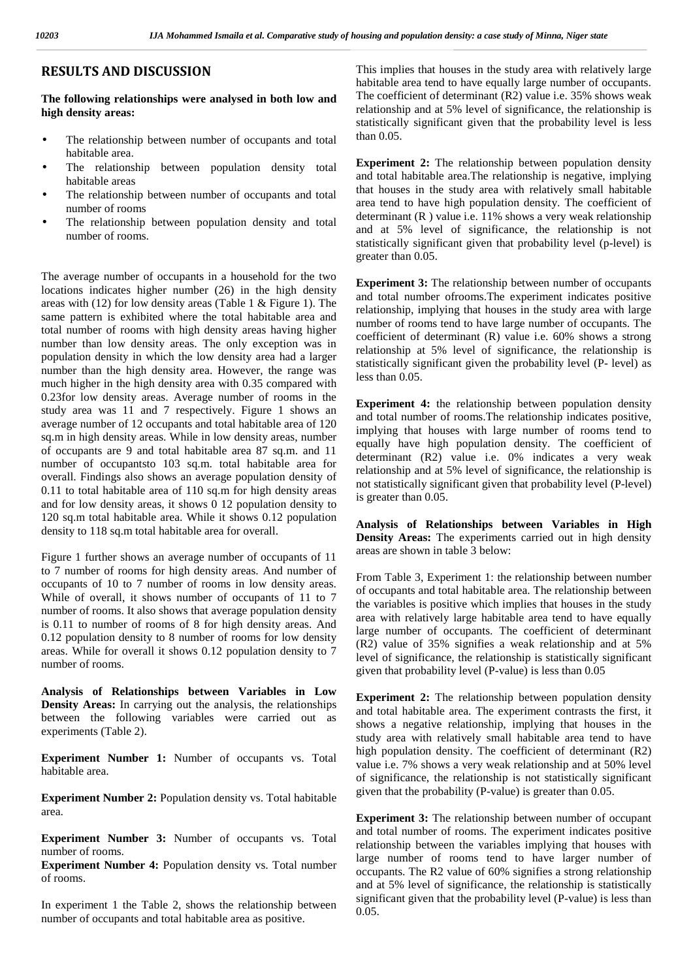## **RESULTS AND DISCUSSION**

**The following relationships were analysed in both low and high density areas:**

- The relationship between number of occupants and total habitable area.
- The relationship between population density total habitable areas
- The relationship between number of occupants and total number of rooms
- The relationship between population density and total number of rooms.

The average number of occupants in a household for the two locations indicates higher number (26) in the high density areas with (12) for low density areas (Table 1 & Figure 1). The same pattern is exhibited where the total habitable area and total number of rooms with high density areas having higher number than low density areas. The only exception was in population density in which the low density area had a larger number than the high density area. However, the range was much higher in the high density area with 0.35 compared with 0.23for low density areas. Average number of rooms in the study area was 11 and 7 respectively. Figure 1 shows an average number of 12 occupants and total habitable area of 120 sq.m in high density areas. While in low density areas, number of occupants are 9 and total habitable area 87 sq.m. and 11 number of occupantsto 103 sq.m. total habitable area for overall. Findings also shows an average population density of 0.11 to total habitable area of 110 sq.m for high density areas and for low density areas, it shows 0 12 population density to 120 sq.m total habitable area. While it shows 0.12 population density to 118 sq.m total habitable area for overall.

Figure 1 further shows an average number of occupants of 11 to 7 number of rooms for high density areas. And number of occupants of 10 to 7 number of rooms in low density areas. While of overall, it shows number of occupants of 11 to 7 number of rooms. It also shows that average population density is 0.11 to number of rooms of 8 for high density areas. And 0.12 population density to 8 number of rooms for low density areas. While for overall it shows 0.12 population density to 7 number of rooms.

**Analysis of Relationships between Variables in Low Density Areas:** In carrying out the analysis, the relationships between the following variables were carried out as experiments (Table 2).

**Experiment Number 1:** Number of occupants vs. Total habitable area.

**Experiment Number 2:** Population density vs. Total habitable area.

**Experiment Number 3:** Number of occupants vs. Total number of rooms.

**Experiment Number 4:** Population density vs. Total number of rooms.

In experiment 1 the Table 2, shows the relationship between number of occupants and total habitable area as positive.

This implies that houses in the study area with relatively large habitable area tend to have equally large number of occupants. The coefficient of determinant (R2) value i.e. 35% shows weak relationship and at 5% level of significance, the relationship is statistically significant given that the probability level is less than 0.05.

**Experiment 2:** The relationship between population density and total habitable area.The relationship is negative, implying that houses in the study area with relatively small habitable area tend to have high population density. The coefficient of determinant (R ) value i.e. 11% shows a very weak relationship and at 5% level of significance, the relationship is not statistically significant given that probability level (p-level) is greater than 0.05.

**Experiment 3:** The relationship between number of occupants and total number ofrooms.The experiment indicates positive relationship, implying that houses in the study area with large number of rooms tend to have large number of occupants. The coefficient of determinant (R) value i.e. 60% shows a strong relationship at 5% level of significance, the relationship is statistically significant given the probability level (P- level) as less than 0.05.

**Experiment 4:** the relationship between population density and total number of rooms.The relationship indicates positive, implying that houses with large number of rooms tend to equally have high population density. The coefficient of determinant (R2) value i.e. 0% indicates a very weak relationship and at 5% level of significance, the relationship is not statistically significant given that probability level (P-level) is greater than 0.05.

**Analysis of Relationships between Variables in High Density Areas:** The experiments carried out in high density areas are shown in table 3 below:

From Table 3, Experiment 1: the relationship between number of occupants and total habitable area. The relationship between the variables is positive which implies that houses in the study area with relatively large habitable area tend to have equally large number of occupants. The coefficient of determinant (R2) value of 35% signifies a weak relationship and at 5% level of significance, the relationship is statistically significant given that probability level (P-value) is less than 0.05

**Experiment 2:** The relationship between population density and total habitable area. The experiment contrasts the first, it shows a negative relationship, implying that houses in the study area with relatively small habitable area tend to have high population density. The coefficient of determinant (R2) value i.e. 7% shows a very weak relationship and at 50% level of significance, the relationship is not statistically significant given that the probability (P-value) is greater than 0.05.

**Experiment 3:** The relationship between number of occupant and total number of rooms. The experiment indicates positive relationship between the variables implying that houses with large number of rooms tend to have larger number of occupants. The R2 value of 60% signifies a strong relationship and at 5% level of significance, the relationship is statistically significant given that the probability level (P-value) is less than 0.05.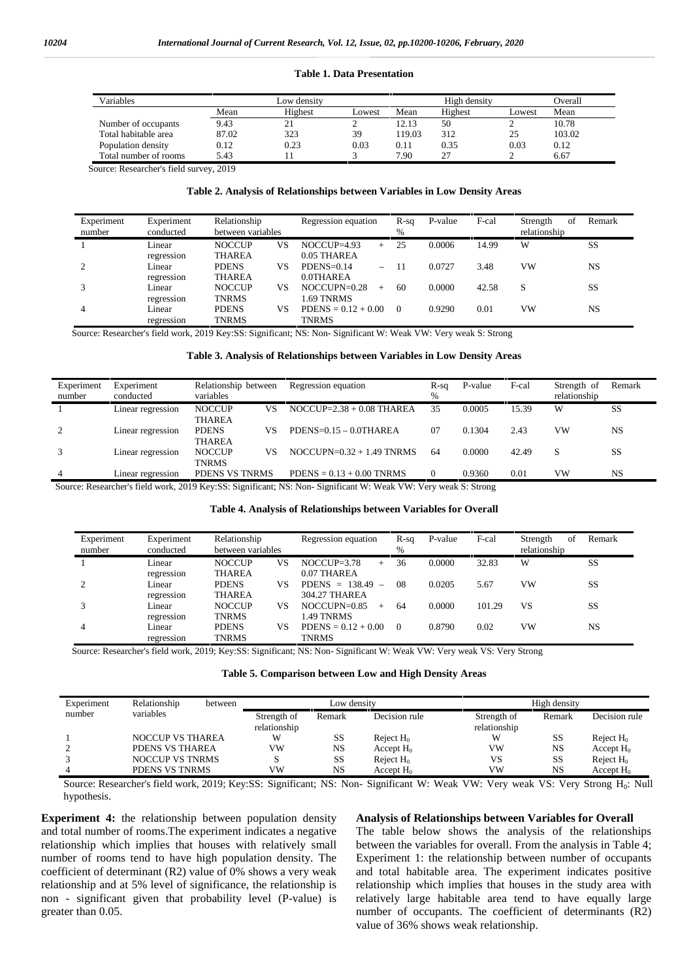#### **Table 1. Data Presentation**

| Variables             |       | Low densitv |        |       | High density |        | Overall |
|-----------------------|-------|-------------|--------|-------|--------------|--------|---------|
|                       | Mean  | Highest     | Lowest | Mean  | Highest      | Lowest | Mean    |
| Number of occupants   | 9.43  | 21          |        | 12.13 | 50           | ∼      | 10.78   |
| Total habitable area  | 87.02 | 323         | 39     | 19.03 | 312          | 25     | 103.02  |
| Population density    | 0.12  | 0.23        | 0.03   | 0.11  | 0.35         | 0.03   | 0.12    |
| Total number of rooms | 5.43  |             |        | 7.90  | ∼            |        | 6.67    |

Source: Researcher's field survey, 2019

#### **Table 2. Analysis of Relationships between Variables in Low Density Areas**

| Experiment | Experiment | Relationship      |    | Regression equation   | $R-sq$   | P-value | F-cal | of<br>Strength | Remark |
|------------|------------|-------------------|----|-----------------------|----------|---------|-------|----------------|--------|
| number     | conducted  | between variables |    |                       | %        |         |       | relationship   |        |
|            | Linear     | <b>NOCCUP</b>     | VS | $NOCCUP=4.93$<br>$+$  | 25       | 0.0006  | 14.99 | W              | SS     |
|            | regression | <b>THAREA</b>     |    | 0.05 THAREA           |          |         |       |                |        |
|            | Linear     | <b>PDENS</b>      | VS | $PDENS=0.14$<br>$-$   | -11      | 0.0727  | 3.48  | VW             | NS     |
|            | regression | <b>THAREA</b>     |    | 0.0THAREA             |          |         |       |                |        |
|            | Linear     | <b>NOCCUP</b>     | VS | $NOCCUPN=0.28$<br>$+$ | 60       | 0.0000  | 42.58 | S              | SS     |
|            | regression | <b>TNRMS</b>      |    | 1.69 TNRMS            |          |         |       |                |        |
|            | Linear     | <b>PDENS</b>      | VS | $PDENS = 0.12 + 0.00$ | $\Omega$ | 0.9290  | 0.01  | VW             | NS     |
|            | regression | <b>TNRMS</b>      |    | <b>TNRMS</b>          |          |         |       |                |        |

Source: Researcher's field work, 2019 Key:SS: Significant; NS: Non- Significant W: Weak VW: Very weak S: Strong

#### **Table 3. Analysis of Relationships between Variables in Low Density Areas**

| Experiment<br>number | Experiment<br>conducted | Relationship between<br>variables    | Regression equation         | R-sq<br>% | P-value | F-cal | Strength of<br>relationship | Remark    |
|----------------------|-------------------------|--------------------------------------|-----------------------------|-----------|---------|-------|-----------------------------|-----------|
|                      | Linear regression       | <b>NOCCUP</b><br>VS<br><b>THAREA</b> | $NOCCUP=2.38 + 0.08$ THAREA | 35        | 0.0005  | 15.39 | W                           | SS        |
| 2                    | Linear regression       | <b>PDENS</b><br>VS<br><b>THAREA</b>  | $PDENS=0.15-0.0THAREA$      | 07        | 0.1304  | 2.43  | vw                          | <b>NS</b> |
|                      | Linear regression       | <b>NOCCUP</b><br>VS<br><b>TNRMS</b>  | $NOCCUPN=0.32 + 1.49$ TNRMS | 64        | 0.0000  | 42.49 |                             | SS        |
| $\overline{4}$       | Linear regression       | PDENS VS TNRMS                       | $PDENS = 0.13 + 0.00$ TNRMS | $\Omega$  | 0.9360  | 0.01  | VW                          | <b>NS</b> |

Source: Researcher's field work, 2019 Key:SS: Significant; NS: Non- Significant W: Weak VW: Very weak S: Strong

#### **Table 4. Analysis of Relationships between Variables for Overall**

| Experiment<br>number | Experiment<br>conducted | Relationship<br>between variables   | Regression equation                    | $R-sq$<br>% | P-value | F-cal  | Strength<br>of<br>relationship | Remark |
|----------------------|-------------------------|-------------------------------------|----------------------------------------|-------------|---------|--------|--------------------------------|--------|
|                      | Linear<br>regression    | <b>NOCCUP</b><br>VS<br>THAREA       | $NOCCI$ $P=3.78$<br>$+$<br>0.07 THAREA | 36          | 0.0000  | 32.83  | W                              | SS     |
|                      | Linear<br>regression    | <b>PDENS</b><br>VS<br>THAREA        | PDENS = $138.49$ –<br>304.27 THAREA    | -08         | 0.0205  | 5.67   | vw                             | SS     |
|                      | Linear<br>regression    | <b>NOCCUP</b><br>VS<br><b>TNRMS</b> | $NOCCIIPN=0.85$<br>$+$<br>1.49 TNRMS   | -64         | 0.0000  | 101.29 | VS                             | SS     |
| 4                    | Linear<br>regression    | <b>PDENS</b><br>VS<br><b>TNRMS</b>  | $PDENS = 0.12 + 0.00$<br><b>TNRMS</b>  | $\Omega$    | 0.8790  | 0.02   | VW                             | NS     |

Source: Researcher's field work, 2019; Key:SS: Significant; NS: Non- Significant W: Weak VW: Very weak VS: Very Strong

| Table 5. Comparison between Low and High Density Areas |  |  |
|--------------------------------------------------------|--|--|
|                                                        |  |  |

| Experiment | Relationship            | between | Low density  |           |               |              | High density |               |  |  |
|------------|-------------------------|---------|--------------|-----------|---------------|--------------|--------------|---------------|--|--|
| number     | variables               |         | Strength of  | Remark    | Decision rule | Strength of  | Remark       | Decision rule |  |  |
|            |                         |         | relationship |           |               | relationship |              |               |  |  |
|            | <b>NOCCUP VS THAREA</b> |         | W            | SS        | Reject $H_0$  | W            | SS           | Reject $H_0$  |  |  |
|            | PDENS VS THAREA         |         | vw           | NS        | Accept $H_0$  | VW           | NS           | Accept $H_0$  |  |  |
|            | NOCCUP VS TNRMS         |         |              | SS        | Reject $H_0$  | VS           | SS           | Reject $H_0$  |  |  |
|            | PDENS VS TNRMS          |         | <b>VW</b>    | <b>NS</b> | Accept $H_0$  | VW           | NS           | Accept $H_0$  |  |  |

Source: Researcher's field work, 2019; Key:SS: Significant; NS: Non- Significant W: Weak VW: Very weak VS: Very Strong H<sub>0</sub>: Null hypothesis.

**Experiment 4:** the relationship between population density and total number of rooms.The experiment indicates a negative relationship which implies that houses with relatively small number of rooms tend to have high population density. The coefficient of determinant (R2) value of 0% shows a very weak relationship and at 5% level of significance, the relationship is non - significant given that probability level (P-value) is greater than 0.05.

#### **Analysis of Relationships between Variables for Overall**

The table below shows the analysis of the relationships between the variables for overall. From the analysis in Table 4; Experiment 1: the relationship between number of occupants and total habitable area. The experiment indicates positive relationship which implies that houses in the study area with relatively large habitable area tend to have equally large number of occupants. The coefficient of determinants (R2) value of 36% shows weak relationship.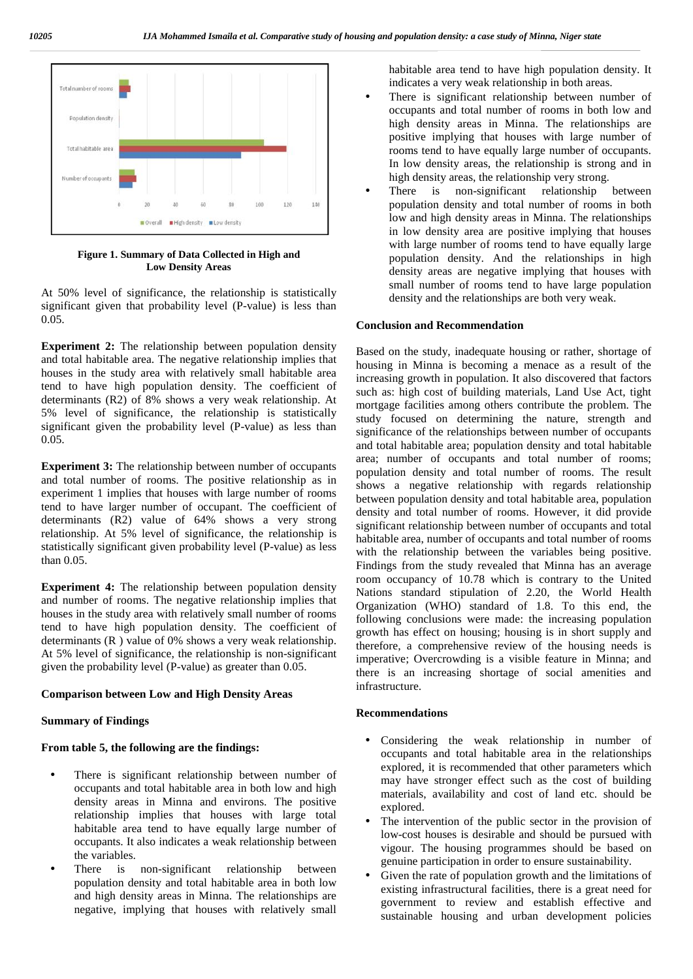

**Figure 1. Summary of Data Collected in High and Low Density Areas**

At 50% level of significance, the relationship is statistically significant given that probability level (P-value) is less than 0.05.

**Experiment 2:** The relationship between population density and total habitable area. The negative relationship implies that houses in the study area with relatively small habitable area tend to have high population density. The coefficient of determinants (R2) of 8% shows a very weak relationship. At 5% level of significance, the relationship is statistically significant given the probability level (P-value) as less than 0.05.

**Experiment 3:** The relationship between number of occupants and total number of rooms. The positive relationship as in experiment 1 implies that houses with large number of rooms tend to have larger number of occupant. The coefficient of determinants (R2) value of 64% shows a very strong relationship. At 5% level of significance, the relationship is statistically significant given probability level (P-value) as less than 0.05.

**Experiment 4:** The relationship between population density and number of rooms. The negative relationship implies that houses in the study area with relatively small number of rooms tend to have high population density. The coefficient of determinants (R ) value of 0% shows a very weak relationship. At 5% level of significance, the relationship is non-significant given the probability level (P-value) as greater than 0.05.

#### **Comparison between Low and High Density Areas**

#### **Summary of Findings**

#### **From table 5, the following are the findings:**

- There is significant relationship between number of occupants and total habitable area in both low and high density areas in Minna and environs. The positive relationship implies that houses with large total habitable area tend to have equally large number of occupants. It also indicates a weak relationship between the variables.
- There is non-significant relationship between population density and total habitable area in both low and high density areas in Minna. The relationships are negative, implying that houses with relatively small

habitable area tend to have high population density. It indicates a very weak relationship in both areas.

- There is significant relationship between number of occupants and total number of rooms in both low and high density areas in Minna. The relationships are positive implying that houses with large number of rooms tend to have equally large number of occupants. In low density areas, the relationship is strong and in high density areas, the relationship very strong.
- There is non-significant relationship between population density and total number of rooms in both low and high density areas in Minna. The relationships in low density area are positive implying that houses with large number of rooms tend to have equally large population density. And the relationships in high density areas are negative implying that houses with small number of rooms tend to have large population density and the relationships are both very weak.

#### **Conclusion and Recommendation**

Based on the study, inadequate housing or rather, shortage of housing in Minna is becoming a menace as a result of the increasing growth in population. It also discovered that factors such as: high cost of building materials, Land Use Act, tight mortgage facilities among others contribute the problem. The study focused on determining the nature, strength and significance of the relationships between number of occupants and total habitable area; population density and total habitable area; number of occupants and total number of rooms; population density and total number of rooms. The result shows a negative relationship with regards relationship between population density and total habitable area, population density and total number of rooms. However, it did provide significant relationship between number of occupants and total habitable area, number of occupants and total number of rooms with the relationship between the variables being positive. Findings from the study revealed that Minna has an average room occupancy of 10.78 which is contrary to the United Nations standard stipulation of 2.20, the World Health Organization (WHO) standard of 1.8. To this end, the following conclusions were made: the increasing population growth has effect on housing; housing is in short supply and therefore, a comprehensive review of the housing needs is imperative; Overcrowding is a visible feature in Minna; and there is an increasing shortage of social amenities and infrastructure.

#### **Recommendations**

- Considering the weak relationship in number of occupants and total habitable area in the relationships explored, it is recommended that other parameters which may have stronger effect such as the cost of building materials, availability and cost of land etc. should be explored.
- The intervention of the public sector in the provision of low-cost houses is desirable and should be pursued with vigour. The housing programmes should be based on genuine participation in order to ensure sustainability.
- Given the rate of population growth and the limitations of existing infrastructural facilities, there is a great need for government to review and establish effective and sustainable housing and urban development policies